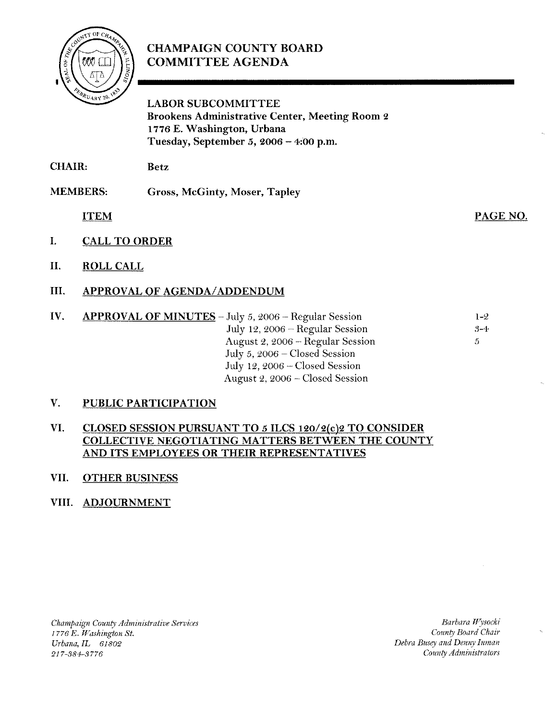

# **CHAMPAIGN COUNTY BOARD COMMITTEE AGENDA**

**LABOR SUBCOMMITTEE Brookens Administrative Center, Meeting Room 2** 1776 E. Washington, Urbana Tuesday, September 5, 2006 - 4:00 p.m.

**CHAIR: Betz** 

**MEMBERS:** Gross, McGinty, Moser, Tapley

**ITEM** 

- I. **CALL TO ORDER**
- II. **ROLL CALL**
- III. **APPROVAL OF AGENDA/ADDENDUM**
- IV. APPROVAL OF MINUTES - July 5, 2006 - Regular Session  $1 - 2$ July 12, 2006 - Regular Session  $3 - 4$ August 2, 2006 - Regular Session  $\mathfrak{S}$ July 5, 2006 - Closed Session July 12, 2006 - Closed Session August 2, 2006 – Closed Session

#### $V_{\odot}$ **PUBLIC PARTICIPATION**

#### VI. **CLOSED SESSION PURSUANT TO 5 ILCS 120/2(c)2 TO CONSIDER** COLLECTIVE NEGOTIATING MATTERS BETWEEN THE COUNTY AND ITS EMPLOYEES OR THEIR REPRESENTATIVES

#### VII. **OTHER BUSINESS**

# VIII. ADJOURNMENT

Champaign County Administrative Services 1776 E. Washington St. Urbana, IL 61802 217-384-3776

Barbara Wysocki County Board Chair Debra Busey and Denny Inman County Administrators

PAGE NO.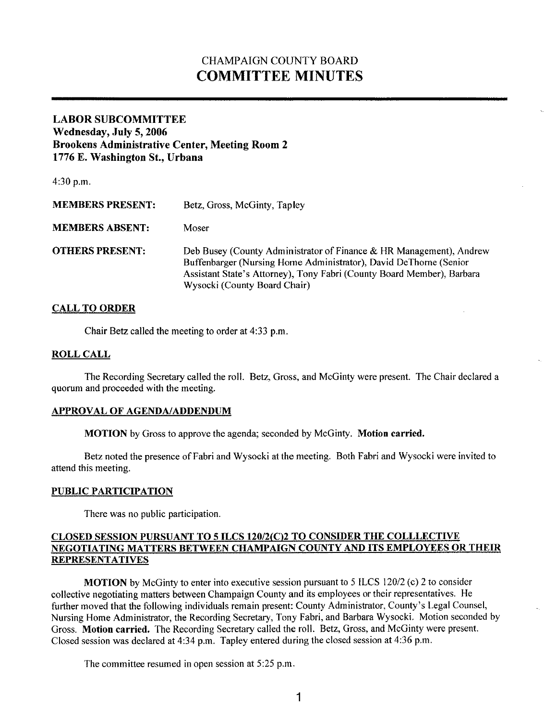# CHAMPAIGN COUNTY BOARD **COMMITTEE MINUTES**

# **LABOR SUBCOMMITTEE Wednesday, July 5,2006 Brookens Administrative Center, Meeting Room 2 1776 E. Washington St., Urbana**

4:30 p.m. **MEMBERS PRESENT:** Betz, Gross, McGinty, Tapley **MEMBERS ABSENT:** Moser **OTHERS PRESENT:** Deb Busey (County Administrator of Finance & HR Management), Andrew Buffenbarger (Nursing Home Administrator), David DeThome (Senior Assistant State's Attorney), Tony Fabri (County Board Member), Barbara Wysocki (County Board Chair)

# **CALL TO ORDER**

Chair Betz called the meeting to order at 4:33 p.m.

### **ROLL CALL**

The Recording Secretary called the roll. Betz, Gross, and McGinty were present. The Chair declared a quorum and proceeded with the meeting.

#### **APPROVAL OF AGENDAJADDENDUM**

**MOTION** by Gross to approve the agenda; seconded by McGinty. **Motion carried.** 

Betz noted the presence of Fabri and Wysocki at the meeting. Both Fabri and Wysocki were invited to attend this meeting.

# **PUBLIC PARTICIPATION**

There was no public participation.

# **CLOSEI) SESSIOS PURSUAN'I' '10 5 II.CS 12112(C)2 '1'0 CONSII)El< THE COLl.l.ECTI\'I-: NEGOTIATING MATTERS BETWEEN CHAMPAIGN COUNTY AND ITS EMPLOYEES OR THEIR REPRESEKTATIVES**

**MOTION** by McGinty to enter into executive session pursuant to *5* ILCS *12012* (c) *2* to consider collective negotiating matters between Champaign County and its employees or their representatives. He further moved that the following individuals remain present: County Administrator, County's Legal Counsel, Nursing Home Administrator, the Recording Secretary, Tony Fabri, and Barbara Wysocki. Motion seconded by Gross. **Motion carried.** The Recording Secretary called the roll. Betz, Gross, and McGinty were present. Closed session was declared at 4:34 p.m. Tapley entered during the closed session at **4:36** p.m.

The committee resumed in open session at *5:25* p.m.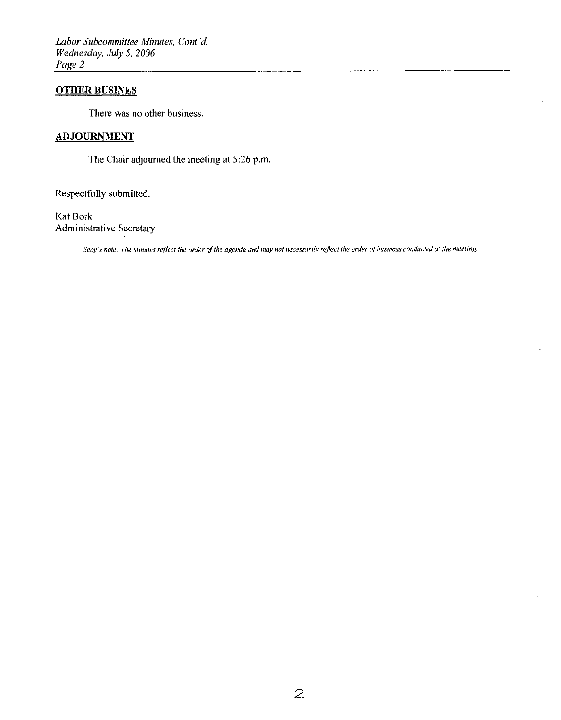Labor Subcommittee Minutes, Cont'd. Wednesday, July 5, 2006 Page 2

### **OTHER BUSINES**

There was no other business.

# **ADJOURNMENT**

The Chair adjourned the meeting at 5:26 p.m.

Respectfully submitted,

Kat Bork **Administrative Secretary** 

Secy's note: The minutes reflect the order of the agenda and may not necessarily reflect the order of business conducted at the meeting.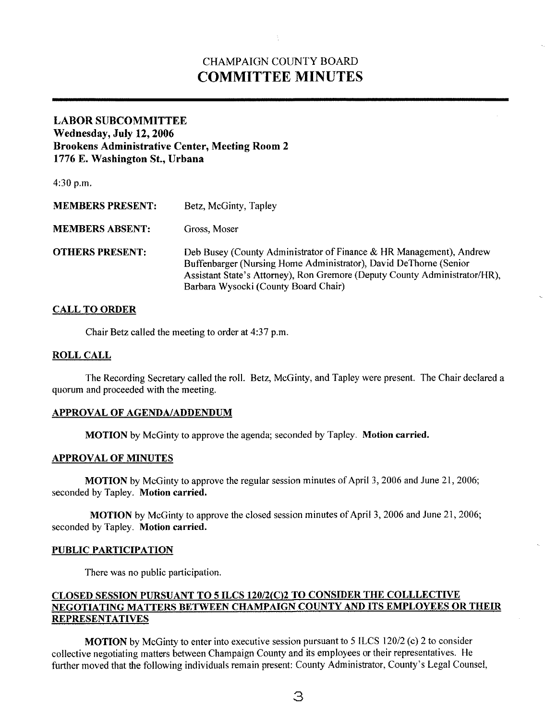# CHAMPAIGN COUNTY BOARD **COMMITTEE MINUTES**

# **LABOR SUBCOMMITTEE Wednesday, July 12,2006 Brookens Administrative Center, Meeting Room 2 1776 E. Washington St., Urbana**

| 4:30 p.m.               |                                                                                                                                                                                                                                                                |
|-------------------------|----------------------------------------------------------------------------------------------------------------------------------------------------------------------------------------------------------------------------------------------------------------|
| <b>MEMBERS PRESENT:</b> | Betz, McGinty, Tapley                                                                                                                                                                                                                                          |
| <b>MEMBERS ABSENT:</b>  | Gross, Moser                                                                                                                                                                                                                                                   |
| <b>OTHERS PRESENT:</b>  | Deb Busey (County Administrator of Finance & HR Management), Andrew<br>Buffenbarger (Nursing Home Administrator), David DeThorne (Senior<br>Assistant State's Attorney), Ron Gremore (Deputy County Administrator/HR),<br>Barbara Wysocki (County Board Chair) |

### **CALL TO ORDER**

Chair Betz called the meeting to order at 4:37 p.m.

#### **ROLL CALL**

The Recording Secretary called the roll. Betz, McGinty, and Tapley were present. The Chair declared a quorum and proceeded with the meeting.

#### **APPROVAL OF AGENDAIADDENDUM**

**MOTION** by McGinty to approve the agenda; seconded by Tapley. **Motion carried.** 

#### **APPROVAL OF MINUTES**

**MOTION** by McGinty to approve the regular session minutes of April 3, 2006 and June 21, 2006; seconded by Tapley. **Motion carried.** 

**MOTION** by McGinty to approve the closed session minutes of April 3, 2006 and June 21, 2006; seconded by Tapley. **Motion carried.** 

#### **PUBLIC PARTICIPATION**

There was no public participation.

# **CLOSED SESSION PURSUANT TO 5 ILCS 120/2(C)2 TO CONSIDER THE COLLLECTIVE** NEGOTIATING MATTERS BETWEEN CHAMPAIGN COUNTY AND ITS EMPLOYEES OR THEIR **REPRESENTATIVES**

**MOTION** by McGinty to enter into executive session pursuant to *5* ILCS 12012 (c) 2 to consider collective negotiating matters between Champaign County and its employees or their representatives. He further moved that the following individuals remain present: County Administrator, County's Legal Counsel,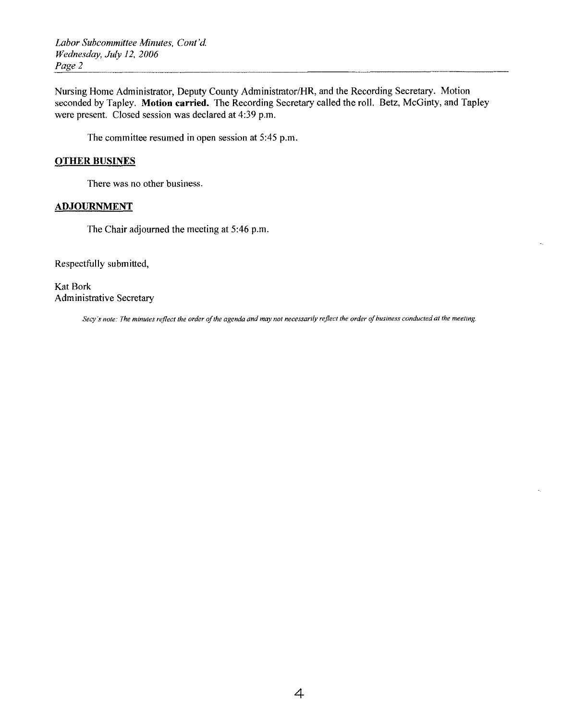*Labor Subcommittee Minutes, Cont'd Wednesday, July 12, 2006* 

Nursing Home Administrator, Deputy County Administrator/HR, and the Recording Secretary. Motion seconded by Tapley. Motion carried. The Recording Secretary called the roll. Betz, McGinty, and Tapley were present. Closed session was declared at 4:39 p.m.

The committee resumed in open session at 5:45 p.m.

# **OTHER BUSINES**

There was no other business.

# **ADJOURNMENT**

The Chair adjourned the meeting at 5:46 p.m.

Respectfully submitted,

Kat Bork Administrative Secretary

Secy's note: The minutes reflect the order of the agenda and may not necessarily reflect the order of business conducted at the meeting.